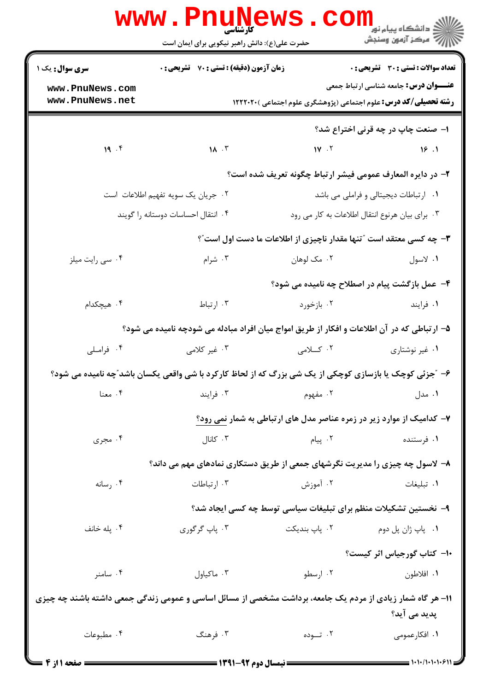|                                                                                                            | <b>www.PnuNews</b><br>کارشناسی<br>حضرت علی(ع): دانش راهبر نیکویی برای ایمان است |                                                                                                                                                                                                                                 | ران دانشگاه پيام نور <mark>− ا</mark><br>ا <b>ر</b> درکز آزمون وسنجش |  |  |
|------------------------------------------------------------------------------------------------------------|---------------------------------------------------------------------------------|---------------------------------------------------------------------------------------------------------------------------------------------------------------------------------------------------------------------------------|----------------------------------------------------------------------|--|--|
| <b>سری سوال :</b> یک ۱                                                                                     | زمان آزمون (دقیقه) : تستی : 70 ٪ تشریحی : 0                                     |                                                                                                                                                                                                                                 | تعداد سوالات : تستى : 30 قشريحى : 0                                  |  |  |
| www.PnuNews.com                                                                                            |                                                                                 |                                                                                                                                                                                                                                 | <b>عنـــوان درس:</b> جامعه شناسی ارتباط جمعی                         |  |  |
| www.PnuNews.net                                                                                            |                                                                                 | <b>رشته تحصیلی/کد درس:</b> علوم اجتماعی (پژوهشگری علوم اجتماعی )۲۲۲۲۰۲۰                                                                                                                                                         |                                                                      |  |  |
|                                                                                                            |                                                                                 |                                                                                                                                                                                                                                 | ۱- صنعت چاپ در چه قرنی اختراع شد؟                                    |  |  |
| 19.7                                                                                                       | $\mathbf{M}$ . $\mathbf{r}$                                                     | $1V \cdot V$                                                                                                                                                                                                                    | 18.1                                                                 |  |  |
|                                                                                                            |                                                                                 | ۲- در دایره المعارف عمومی فیشر ارتباط چگونه تعریف شده است؟                                                                                                                                                                      |                                                                      |  |  |
|                                                                                                            | ۰۲ جریان یک سویه تفهیم اطلاعات است                                              |                                                                                                                                                                                                                                 | ۰۱ ارتباطات دیجیتالی و فراملی می باشد                                |  |  |
|                                                                                                            | ۰۴ انتقال احساسات دوستانه را گويند                                              |                                                                                                                                                                                                                                 | ۰۳ برای بیان هرنوع انتقال اطلاعات به کار می رود                      |  |  |
|                                                                                                            |                                                                                 | ۳- چه کسی معتقد است "تنها مقدار ناچیزی از اطلاعات ما دست اول است"؟                                                                                                                                                              |                                                                      |  |  |
| ۰۴ سی رایت میلز                                                                                            | ۰۳ شرام                                                                         | ۰۲ مک لوهان                                                                                                                                                                                                                     | ۰۱ لاسول                                                             |  |  |
|                                                                                                            |                                                                                 |                                                                                                                                                                                                                                 | ۴- عمل بازگشت پیام در اصطلاح چه نامیده می شود؟                       |  |  |
| ۰۴ هیچکدام                                                                                                 | ۰۳ ارتباط                                                                       | ۰۲ بازخورد                                                                                                                                                                                                                      | ۰۱ فرايند                                                            |  |  |
|                                                                                                            |                                                                                 | ۵– ارتباطی که در آن اطلاعات و افکار از طریق امواج میان افراد مبادله می شودچه نامیده می شود؟                                                                                                                                     |                                                                      |  |  |
| ۰۴ فراملی                                                                                                  | ۰۳ غیر کلامی                                                                    | ۰۲ کسلامی                                                                                                                                                                                                                       | ۰۱ غیر نوشتاری                                                       |  |  |
|                                                                                                            |                                                                                 | ۶- "جزئی کوچک یا بازسازی کوچکی از یک شی بزرگ که از لحاظ کارکرد با شی واقعی یکسان باشد"چه نامیده می شود؟                                                                                                                         |                                                                      |  |  |
| ۰۴ معنا                                                                                                    |                                                                                 | ۰۱ مدل است. این مفهوم است که است که ایند از مدل است که موجد است که این مشهوم است که است که است که از این که اس<br>است که از این که از این که از این که از این که از این که از این که از این که از این که از این که از این که از |                                                                      |  |  |
|                                                                                                            |                                                                                 | ۷- کدامیک از موارد زیر در زمره عناصر مدل های ارتباطی به شمار نمی رود؟                                                                                                                                                           |                                                                      |  |  |
| ۰۴ مجری                                                                                                    | ۰۳ کانال                                                                        | ۰۲ پیام                                                                                                                                                                                                                         | ۰۱ فرستنده                                                           |  |  |
|                                                                                                            | ۸– لاسول چه چیزی را مدیریت نگرشهای جمعی از طریق دستکاری نمادهای مهم می داند؟    |                                                                                                                                                                                                                                 |                                                                      |  |  |
| ۰۴ رسانه                                                                                                   | ۰۳ ارتباطات                                                                     | ۰۲ آموزش                                                                                                                                                                                                                        | ٠١. تبليغات                                                          |  |  |
|                                                                                                            | ۹- نخستین تشکیلات منظم برای تبلیغات سیاسی توسط چه کسی ایجاد شد؟                 |                                                                                                                                                                                                                                 |                                                                      |  |  |
| ۰۴ پله خانف                                                                                                | ۰۳ پاپ گرگوري                                                                   | ۰۲ پاپ بندیکت                                                                                                                                                                                                                   | ۰۱ پاپ ژان پل دوم                                                    |  |  |
|                                                                                                            |                                                                                 |                                                                                                                                                                                                                                 | <b>۱۰</b> کتاب گورجیاس اثر کیست؟                                     |  |  |
| ۰۴ سامنر                                                                                                   | ۰۳ ماکیاول                                                                      | ۰۲ ارسطو                                                                                                                                                                                                                        | ۰۱ افلاطون                                                           |  |  |
| 11- هر گاه شمار زیادی از مردم یک جامعه، برداشت مشخصی از مسائل اساسی و عمومی زندگی جمعی داشته باشند چه چیزی |                                                                                 |                                                                                                                                                                                                                                 |                                                                      |  |  |
|                                                                                                            |                                                                                 |                                                                                                                                                                                                                                 | پدید می آید؟                                                         |  |  |
| ۰۴ مطبوعات                                                                                                 | ۰۳ فرهنگ                                                                        | ۰۲ تــوده                                                                                                                                                                                                                       | ۰۱ افکارعمومی                                                        |  |  |
|                                                                                                            |                                                                                 |                                                                                                                                                                                                                                 |                                                                      |  |  |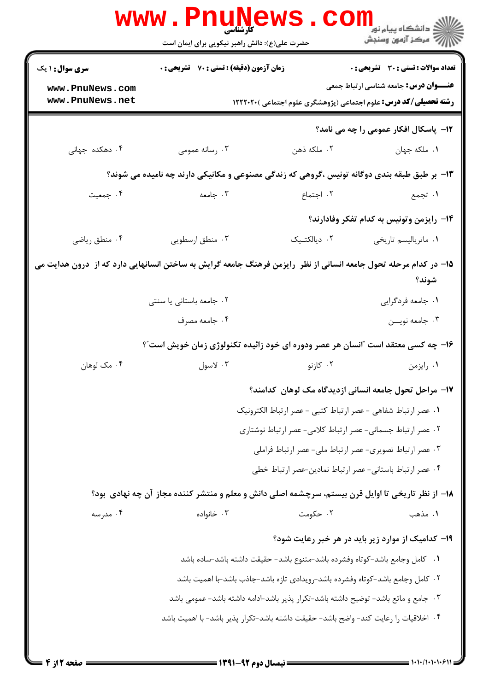|                                                                                                                     | WWW.Pnunt<br>حضرت علی(ع): دانش راهبر نیکویی برای ایمان است                                        |                                                                                      | ڪ دانشڪاه پيام نور ■<br>// مرکز آزمون وسنجش       |  |  |  |
|---------------------------------------------------------------------------------------------------------------------|---------------------------------------------------------------------------------------------------|--------------------------------------------------------------------------------------|---------------------------------------------------|--|--|--|
| <b>سری سوال : ۱ یک</b>                                                                                              | <b>زمان آزمون (دقیقه) : تستی : 70 قشریحی : 0</b>                                                  |                                                                                      | <b>تعداد سوالات : تستی : 30 ٪ تشریحی : 0</b>      |  |  |  |
| www.PnuNews.com<br>www.PnuNews.net                                                                                  |                                                                                                   | <b>رشته تحصیلی/کد درس:</b> علوم اجتماعی (پژوهشگری علوم اجتماعی )۲۲۲۰۲۰ (             | <b>عنـــوان درس:</b> جامعه شناسی ارتباط جمعی      |  |  |  |
|                                                                                                                     |                                                                                                   |                                                                                      | 1۲- پاسکال افکار عمومی را چه می نامد؟             |  |  |  |
| ۰۴ دهکده جهانی                                                                                                      | اسانه عمومی $\cdot$ ۳                                                                             | ۰۲ ملکه ذهن                                                                          | ۰۱ ملکه جهان                                      |  |  |  |
|                                                                                                                     | ۱۳- بر طبق طبقه بندی دوگانه تونیس ،گروهی که زندگی مصنوعی و مکانیکی دارند چه نامیده می شوند؟       |                                                                                      |                                                   |  |  |  |
| ۰۴ جمعیت                                                                                                            | ۰۳ جامعه                                                                                          | ۲. اجتماع                                                                            | ۱. تجمع                                           |  |  |  |
|                                                                                                                     |                                                                                                   |                                                                                      | ۱۴– رایزمن وتونیس به کدام تفکر وفادارند؟          |  |  |  |
| ۰۴ منطق رياضي                                                                                                       | ۰۳ منطق ارسطویی                                                                                   | ٢. ديالكتيک                                                                          | ٠١ ماترياليسم تاريخي                              |  |  |  |
| ۱۵– در کدام مرحله تحول جامعه انسانی از نظر ۖ رایزمن فرهنگ جامعه گرایش به ساختن انسانهایی دارد که از ۖ درون هدایت می |                                                                                                   |                                                                                      | شوند؟                                             |  |  |  |
|                                                                                                                     | ۰۲ جامعه باستانی یا سنتی                                                                          |                                                                                      | ٠١. جامعه فردگرايي                                |  |  |  |
|                                                                                                                     | ۰۴ جامعه مصرف                                                                                     |                                                                                      | ۰۳ جامعه نويـــن                                  |  |  |  |
|                                                                                                                     | ۱۶- چه کسی معتقد است "انسان هر عصر ودوره ای خود زائیده تکنولوژی زمان خویش است"؟                   |                                                                                      |                                                   |  |  |  |
| ۰۴ مک لوهان                                                                                                         | ۰۳ لاسول                                                                                          | ۰۲ کازنو                                                                             | ۰۱ رايزمن                                         |  |  |  |
|                                                                                                                     |                                                                                                   | ۱۷– مراحل تحول جامعه انسانی ازدیدگاه مک لوهان کدامند؟                                |                                                   |  |  |  |
|                                                                                                                     | ٠. عصر ارتباط شفاهي - عصر ارتباط كتبي - عصر ارتباط الكترونيك                                      |                                                                                      |                                                   |  |  |  |
|                                                                                                                     |                                                                                                   | ٠٢ عصر ارتباط جسماني- عصر ارتباط كلامي- عصر ارتباط نوشتاري                           |                                                   |  |  |  |
|                                                                                                                     |                                                                                                   | ٠٣ عصر ارتباط تصويري- عصر ارتباط ملي- عصر ارتباط فراملي                              |                                                   |  |  |  |
|                                                                                                                     |                                                                                                   | ۰۴ عصر ارتباط باستاني- عصر ارتباط نمادين-عصر ارتباط خطي                              |                                                   |  |  |  |
|                                                                                                                     | ۱۸– از نظر تاریخی تا اوایل قرن بیستم، سرچشمه اصلی دانش و معلم و منتشر کننده مجاز آن چه نهادی بود؟ |                                                                                      |                                                   |  |  |  |
| ۰۴ مدرسه                                                                                                            | ۰۳ خانواده                                                                                        | ۰۲ حکومت                                                                             | ۰۱ مذهب                                           |  |  |  |
|                                                                                                                     |                                                                                                   |                                                                                      | ۱۹- کدامیک از موارد زیر باید در هر خبر رعایت شود؟ |  |  |  |
|                                                                                                                     |                                                                                                   | 1.   كامل وجامع باشد-كوتاه وفشرده باشد-متنوع باشد- حقيقت داشته باشد-ساده باشد        |                                                   |  |  |  |
|                                                                                                                     |                                                                                                   | ۰۲ كامل وجامع باشد–كوتاه وفشرده باشد-رويدادى تازه باشد–جاذب باشد-با اهميت باشد       |                                                   |  |  |  |
|                                                                                                                     |                                                                                                   | ۰۳ جامع و ماتع باشد– توضیح داشته باشد–تکرار پذیر باشد–ادامه داشته باشد– عمومی باشد   |                                                   |  |  |  |
|                                                                                                                     |                                                                                                   | ۰۴ اخلاقيات را رعايت كند– واضح باشد– حقيقت داشته باشد–تكرار پذير باشد– با اهميت باشد |                                                   |  |  |  |
|                                                                                                                     |                                                                                                   |                                                                                      |                                                   |  |  |  |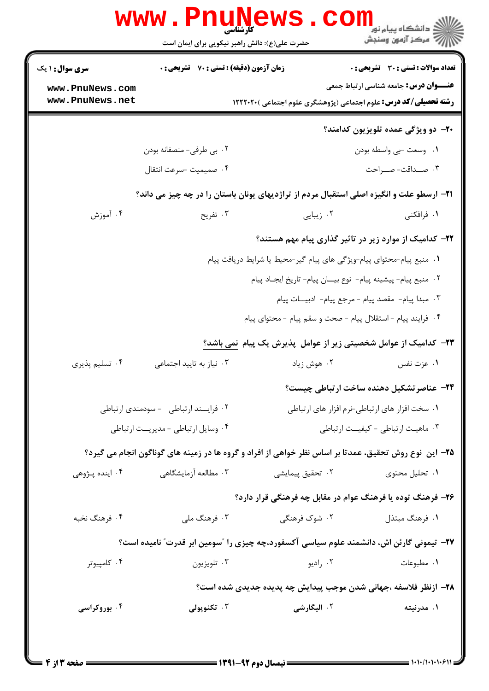| <b>سری سوال : ۱ یک</b> | زمان آزمون (دقیقه) : تستی : 70 گشریحی : 0 |                                                                                                       | <b>تعداد سوالات : تستي : 30 ٪ تشريحي : 0</b>     |
|------------------------|-------------------------------------------|-------------------------------------------------------------------------------------------------------|--------------------------------------------------|
| www.PnuNews.com        |                                           |                                                                                                       | <b>عنـــوان درس:</b> جامعه شناسی ارتباط جمعی     |
| www.PnuNews.net        |                                           | <b>رشته تحصیلی/کد درس:</b> علوم اجتماعی (پژوهشگری علوم اجتماعی )۲۲۲۰۲۰ (                              |                                                  |
|                        |                                           |                                                                                                       | <b>۲۰</b> - دو ویژگی عمده تلویزیون کدامند؟       |
|                        | ۰۲ بی طرفی- منصفانه بودن                  |                                                                                                       | ۰۱ وسعت -بي واسطه بودن                           |
|                        | ۰۴ صميميت -سرعت انتقال                    |                                                                                                       | ۰۳ صـداقت-صــراحت                                |
|                        |                                           | <b>۲۱</b> - ارسطو علت و انگیزه اصلی استقبال مردم از تراژدیهای یونان باستان را در چه چیز می داند؟      |                                                  |
| ۰۴ آموزش               | ۰۳ تفریح                                  | ۰۲ زیبایی                                                                                             | ۱. فرافکنی                                       |
|                        |                                           | ۲۲- کدامیک از موارد زیر در تاثیر گذاری پیام مهم هستند؟                                                |                                                  |
|                        |                                           | ١. منبع پیام-محتوای پیام-ویژگی های پیام گیر-محیط یا شرایط دریافت پیام                                 |                                                  |
|                        |                                           | ٠٢ منبع پيام- پيشينه پيام- نوع بيـان پيام- تاريخ ايجـاد پيام                                          |                                                  |
|                        |                                           | ٠٣ مبدا پيام- مقصد پيام - مرجع پيام- ادبيـات پيام                                                     |                                                  |
|                        |                                           | ۰۴ فرایند پیام - استقلال پیام - صحت و سقم پیام - محتوای پیام                                          |                                                  |
|                        |                                           | ۲۳– کدامیک از عوامل شخصیتی زیر از عوامل پذیرش یک پیام نمی باشد؟                                       |                                                  |
| ۰۴ تسلیم پذیری         | ۰۳ نیاز به تایید اجتماعی                  | ۰۲ هوش زیاد                                                                                           | ۰۱ عزت نفس                                       |
|                        |                                           |                                                                                                       | <b>۲۴</b> - عناصر تشکیل دهنده ساخت ارتباطی چیست؟ |
|                        | ۰۲ فرایسند ارتباطی - سودمندی ارتباطی      |                                                                                                       | ۰۱ سخت افزار های ارتباطی-نرم افزار های ارتباطی   |
|                        | ۰۴ وسایل ارتباطی - مدیریت ارتباطی         |                                                                                                       | ۰۳ ماهیت ارتباطی - کیفیــت ارتباطی               |
|                        |                                           | ۲۵- این نوع روش تحقیق، عمدتا بر اساس نظر خواهی از افراد و گروه ها در زمینه های گوناگون انجام می گیرد؟ |                                                  |
| ۰۴ اینده پـژوهی        | ۰۳ مطالعه آزمایشگاهی                      | ٢. تحقيق پيمايشي                                                                                      | ۰۱ تحلیل محتوی                                   |
|                        |                                           | ۲۶- فرهنگ توده یا فرهنگ عوام در مقابل چه فرهنگی قرار دارد؟                                            |                                                  |
| ۰۴ فرهنگ نخبه          | ۰۳ فرهنگ ملی                              | ۲. شوک فرهنگی                                                                                         | ۰۱ فرهنگ مبتذل                                   |
|                        |                                           | ۲۷- تیمونی گارئن اش، دانشمند علوم سیاسی آکسفورد،چه چیزی را "سومین ابر قدرت" نامیده است؟               |                                                  |
| ۰۴ کامپیوتر            | ۰۳ تلويزيون                               | ۰۲ راديو                                                                                              | ۰۱ مطبوعات                                       |
|                        |                                           | ۲۸– ازنظر فلاسفه ،جهانی شدن موجب پیدایش چه پدیده جدیدی شده است؟                                       |                                                  |
|                        |                                           |                                                                                                       |                                                  |